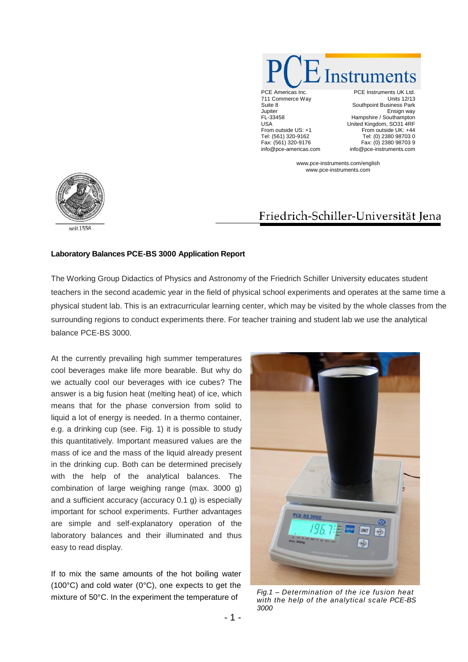

711 Commerce Way Suite 8 **Jupiter** FL-33458 USA From outside US: +1 Tel: (561) 320-9162 Fax: (561) 320-9176 info@pce-americas.com

PCE Instruments UK Ltd. Units 12/13 Southpoint Business Park Ensign way Hampshire / Southampton United Kingdom, SO31 4RF From outside UK: +44 Tel: (0) 2380 98703 0 Fax: (0) 2380 98703 9 info@pce-instruments.com

www.pce-instruments.com/english www.pce-instruments.com



## Friedrich-Schiller-Universität Jena

## **Laboratory Balances PCE-BS 3000 Application Report**

The Working Group Didactics of Physics and Astronomy of the Friedrich Schiller University educates student teachers in the second academic year in the field of physical school experiments and operates at the same time a physical student lab. This is an extracurricular learning center, which may be visited by the whole classes from the surrounding regions to conduct experiments there. For teacher training and student lab we use the analytical balance PCE-BS 3000.

At the currently prevailing high summer temperatures cool beverages make life more bearable. But why do we actually cool our beverages with ice cubes? The answer is a big fusion heat (melting heat) of ice, which means that for the phase conversion from solid to liquid a lot of energy is needed. In a thermo container, e.g. a drinking cup (see. Fig. 1) it is possible to study this quantitatively. Important measured values are the mass of ice and the mass of the liquid already present in the drinking cup. Both can be determined precisely with the help of the analytical balances. The combination of large weighing range (max. 3000 g) and a sufficient accuracy (accuracy 0.1 g) is especially important for school experiments. Further advantages are simple and self-explanatory operation of the laboratory balances and their illuminated and thus easy to read display.

If to mix the same amounts of the hot boiling water (100°C) and cold water (0°C), one expects to get the mixture of 50°C. In the experiment the temperature of *Fig.1 – Determination of the ice fusion heat*



*with the help of the analytical scale PCE-BS 3000*